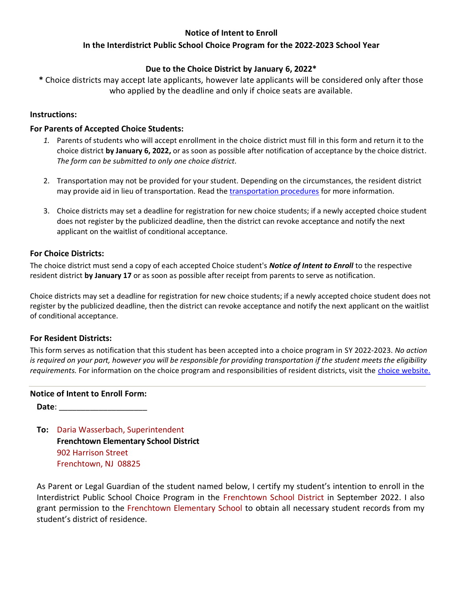# **Notice of Intent to Enroll**

# **In the Interdistrict Public School Choice Program for the 2022-2023 School Year**

# **Due to the Choice District by January 6, 2022\***

**\*** Choice districts may accept late applicants, however late applicants will be considered only after those who applied by the deadline and only if choice seats are available.

#### **Instructions:**

#### **For Parents of Accepted Choice Students:**

- *1.* Parents of students who will accept enrollment in the choice district must fill in this form and return it to the choice district **by January 6, 2022,** or as soon as possible after notification of acceptance by the choice district. *The form can be submitted to only one choice district.*
- 2. Transportation may not be provided for your student. Depending on the circumstances, the resident district may provide aid in lieu of transportation. Read the [transportation procedures](http://www.state.nj.us/education/finance/transportation/procedures/choice_proc.pdf) for more information.
- 3. Choice districts may set a deadline for registration for new choice students; if a newly accepted choice student does not register by the publicized deadline, then the district can revoke acceptance and notify the next applicant on the waitlist of conditional acceptance.

#### **For Choice Districts:**

The choice district must send a copy of each accepted Choice student's *Notice of Intent to Enroll* to the respective resident district **by January 17** or as soon as possible after receipt from parents to serve as notification.

Choice districts may set a deadline for registration for new choice students; if a newly accepted choice student does not register by the publicized deadline, then the district can revoke acceptance and notify the next applicant on the waitlist of conditional acceptance.

## **For Resident Districts:**

This form serves as notification that this student has been accepted into a choice program in SY 2022-2023. *No action is required on your part, however you will be responsible for providing transportation if the student meets the eligibility requirements.* For information on the choice program and responsibilities of resident districts, visit the [choice website.](http://www.state.nj.us/education/choice/rdistricts/)

## **Notice of Intent to Enroll Form:**

**Date**: \_\_\_\_\_\_\_\_\_\_\_\_\_\_\_\_\_\_\_\_

**To:** Daria Wasserbach, Superintendent **Frenchtown Elementary School District** 902 Harrison Street Frenchtown, NJ 08825

As Parent or Legal Guardian of the student named below, I certify my student's intention to enroll in the Interdistrict Public School Choice Program in the Frenchtown School District in September 2022. I also grant permission to the Frenchtown Elementary School to obtain all necessary student records from my student's district of residence.